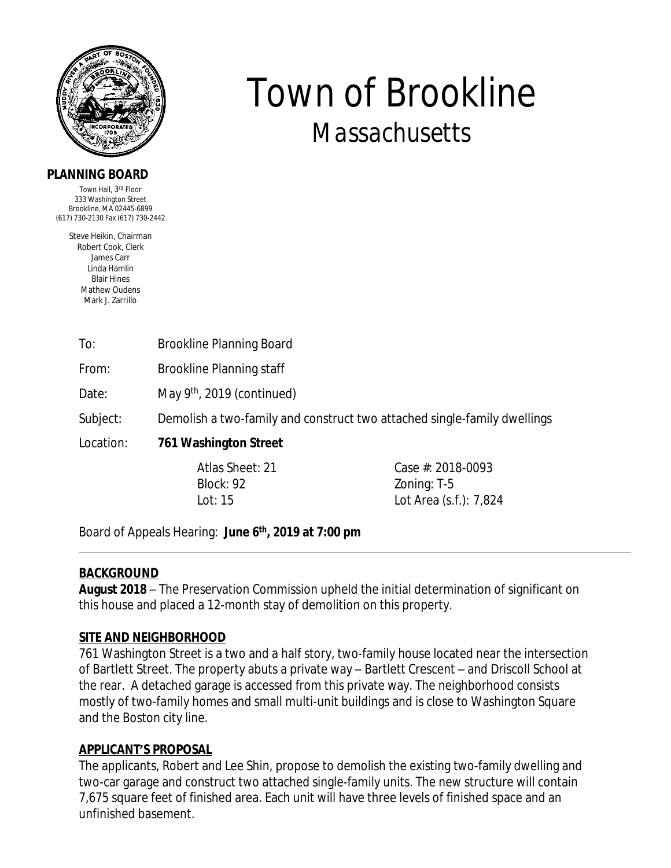

## **PLANNING BOARD**

Town Hall, 3<sup>rd</sup> Floor 333 Washington Street Brookline, MA 02445-6899 (617) 730-2130 Fax (617) 730-2442

> Steve Heikin, Chairman Robert Cook, Clerk James Carr Linda Hamlin Blair Hines Mathew Oudens Mark J. Zarrillo

# To: Brookline Planning Board

From: Brookline Planning staff

Date: May 9<sup>th</sup>, 2019 (continued)

Subject: Demolish a two-family and construct two attached single-family dwellings

# Location: **761 Washington Street**

Block: 92 Zoning: T-5

Atlas Sheet: 21 Case #: 2018-0093 Lot: 15 Lot Area (s.f.): 7,824

*Town of Brookline*

*Massachusetts*

Board of Appeals Hearing: **June 6th, 2019 at 7:00 pm**

### **BACKGROUND**

**August 2018** – The Preservation Commission upheld the initial determination of significant on this house and placed a 12-month stay of demolition on this property.

### **SITE AND NEIGHBORHOOD**

761 Washington Street is a two and a half story, two-family house located near the intersection of Bartlett Street. The property abuts a private way – Bartlett Crescent – and Driscoll School at the rear. A detached garage is accessed from this private way. The neighborhood consists mostly of two-family homes and small multi-unit buildings and is close to Washington Square and the Boston city line.

### **APPLICANT'S PROPOSAL**

The applicants, Robert and Lee Shin, propose to demolish the existing two-family dwelling and two-car garage and construct two attached single-family units. The new structure will contain 7,675 square feet of finished area. Each unit will have three levels of finished space and an unfinished basement.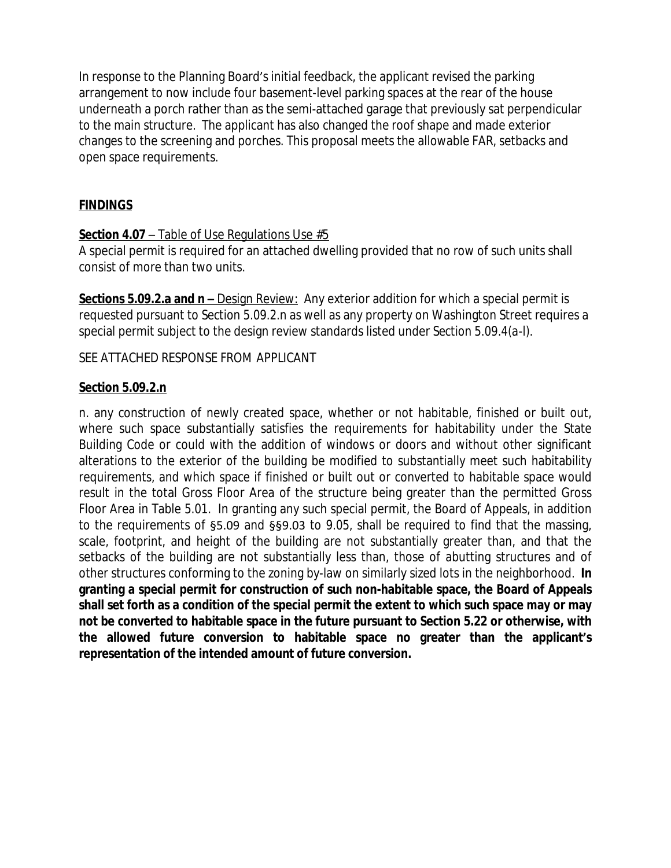In response to the Planning Board's initial feedback, the applicant revised the parking arrangement to now include four basement-level parking spaces at the rear of the house underneath a porch rather than as the semi-attached garage that previously sat perpendicular to the main structure. The applicant has also changed the roof shape and made exterior changes to the screening and porches. This proposal meets the allowable FAR, setbacks and open space requirements.

# **FINDINGS**

#### **Section 4.07** – Table of Use Regulations Use #5

A special permit is required for an attached dwelling provided that no row of such units shall consist of more than two units.

**Sections 5.09.2.a and n –** Design Review: Any exterior addition for which a special permit is requested pursuant to *Section 5.09.2.n* as well as any property on Washington Street requires a special permit subject to the design review standards listed under *Section 5.09.4(a-l)*.

SEE ATTACHED RESPONSE FROM APPLICANT

#### **Section 5.09.2.n**

n. any construction of newly created space, whether or not habitable, finished or built out, where such space substantially satisfies the requirements for habitability under the State Building Code or could with the addition of windows or doors and without other significant alterations to the exterior of the building be modified to substantially meet such habitability requirements, and which space if finished or built out or converted to habitable space would result in the total Gross Floor Area of the structure being greater than the permitted Gross Floor Area in Table 5.01. In granting any such special permit, the Board of Appeals, in addition to the requirements of §5.09 and §§9.03 to 9.05, shall be required to find that the massing, scale, footprint, and height of the building are not substantially greater than, and that the setbacks of the building are not substantially less than, those of abutting structures and of other structures conforming to the zoning by-law on similarly sized lots in the neighborhood. **In granting a special permit for construction of such non-habitable space, the Board of Appeals** shall set forth as a condition of the special permit the extent to which such space may or may **not be converted to habitable space in the future pursuant to Section 5.22 or otherwise, with the allowed future conversion to habitable space no greater than the applicant's representation of the intended amount of future conversion.**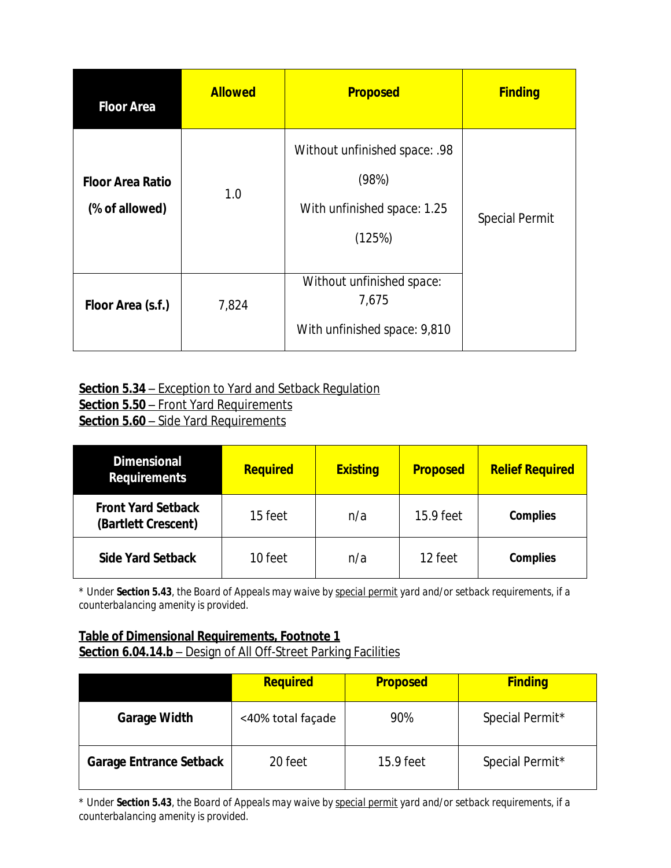| <b>Floor Area</b>                         | <b>Allowed</b> | <b>Proposed</b>                                                                 | <b>Finding</b>        |  |
|-------------------------------------------|----------------|---------------------------------------------------------------------------------|-----------------------|--|
| <b>Floor Area Ratio</b><br>(% of allowed) | 1.0            | Without unfinished space: .98<br>(98%)<br>With unfinished space: 1.25<br>(125%) | <b>Special Permit</b> |  |
| Floor Area (s.f.)                         | 7,824          | Without unfinished space:<br>7,675<br>With unfinished space: 9,810              |                       |  |

## **Section 5.34** – Exception to Yard and Setback Regulation **Section 5.50** – Front Yard Requirements **Section 5.60** – Side Yard Requirements

| <b>Dimensional</b><br><b>Requirements</b>        | <b>Required</b> | <b>Existing</b> | <b>Proposed</b> | <b>Relief Required</b> |
|--------------------------------------------------|-----------------|-----------------|-----------------|------------------------|
| <b>Front Yard Setback</b><br>(Bartlett Crescent) | 15 feet         | n/a             | 15.9 feet       | <b>Complies</b>        |
| <b>Side Yard Setback</b>                         | 10 feet         | n/a             | 12 feet         | <b>Complies</b>        |

*\* Under Section 5.43, the Board of Appeals may waive by special permit yard and/or setback requirements, if a counterbalancing amenity is provided.* 

# **Table of Dimensional Requirements, Footnote 1** Section 6.04.14.b - Design of All Off-Street Parking Facilities

|                                | <b>Required</b>   | <b>Proposed</b> | <b>Finding</b>  |
|--------------------------------|-------------------|-----------------|-----------------|
| <b>Garage Width</b>            | <40% total façade | 90%             | Special Permit* |
| <b>Garage Entrance Setback</b> | 20 feet           | 15.9 feet       | Special Permit* |

*\* Under Section 5.43, the Board of Appeals may waive by special permit yard and/or setback requirements, if a counterbalancing amenity is provided.*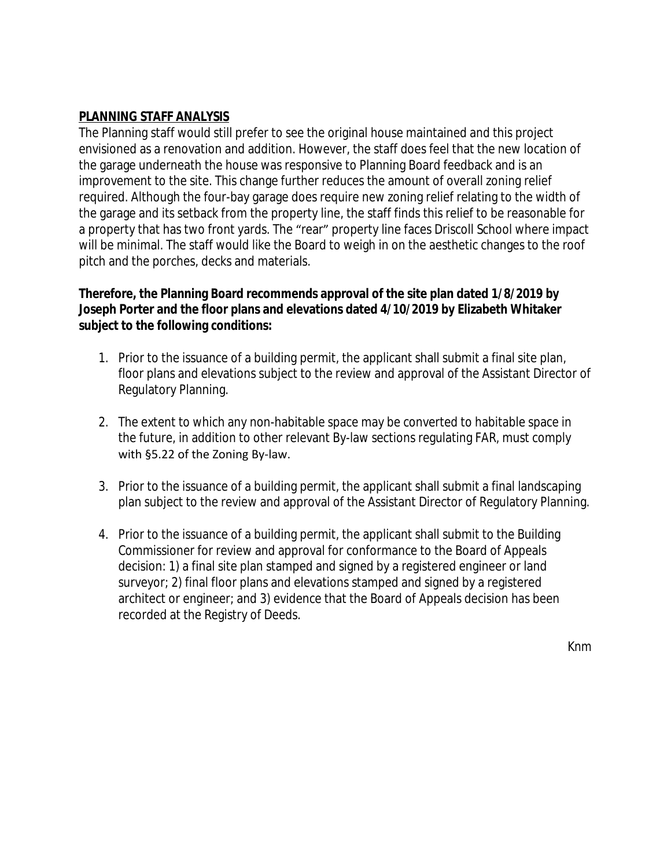# **PLANNING STAFF ANALYSIS**

The Planning staff would still prefer to see the original house maintained and this project envisioned as a renovation and addition. However, the staff does feel that the new location of the garage underneath the house was responsive to Planning Board feedback and is an improvement to the site. This change further reduces the amount of overall zoning relief required. Although the four-bay garage does require new zoning relief relating to the width of the garage and its setback from the property line, the staff finds this relief to be reasonable for a property that has two front yards. The "rear" property line faces Driscoll School where impact will be minimal. The staff would like the Board to weigh in on the aesthetic changes to the roof pitch and the porches, decks and materials.

# **Therefore, the Planning Board recommends approval of the site plan dated 1/8/2019 by Joseph Porter and the floor plans and elevations dated 4/10/2019 by Elizabeth Whitaker subject to the following conditions:**

- 1. Prior to the issuance of a building permit, the applicant shall submit a final site plan, floor plans and elevations subject to the review and approval of the Assistant Director of Regulatory Planning.
- 2. The extent to which any non-habitable space may be converted to habitable space in the future, in addition to other relevant By-law sections regulating FAR, must comply with §5.22 of the Zoning By-law.
- 3. Prior to the issuance of a building permit, the applicant shall submit a final landscaping plan subject to the review and approval of the Assistant Director of Regulatory Planning.
- 4. Prior to the issuance of a building permit, the applicant shall submit to the Building Commissioner for review and approval for conformance to the Board of Appeals decision: 1) a final site plan stamped and signed by a registered engineer or land surveyor; 2) final floor plans and elevations stamped and signed by a registered architect or engineer; and 3) evidence that the Board of Appeals decision has been recorded at the Registry of Deeds.

*Knm*